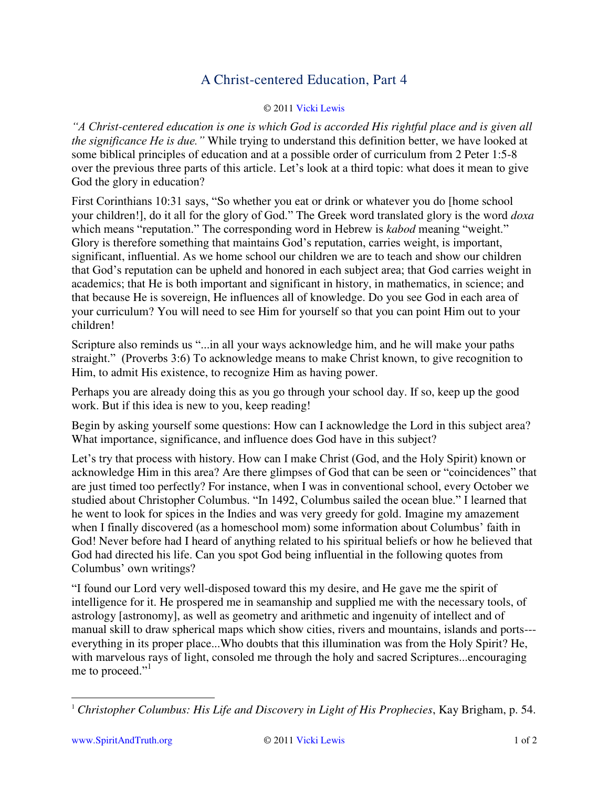## A Christ-centered Education, Part 4

## © 201[1 Vicki Lewis](http://www.spiritandtruth.org/id/vl.htm)

*"A Christ-centered education is one is which God is accorded His rightful place and is given all the significance He is due."* While trying to understand this definition better, we have looked at some biblical principles of education and at a possible order of curriculum from 2 Peter 1:5-8 over the previous three parts of this article. Let"s look at a third topic: what does it mean to give God the glory in education?

First Corinthians 10:31 says, "So whether you eat or drink or whatever you do [home school your children!], do it all for the glory of God." The Greek word translated glory is the word *doxa* which means "reputation." The corresponding word in Hebrew is *kabod* meaning "weight." Glory is therefore something that maintains God"s reputation, carries weight, is important, significant, influential. As we home school our children we are to teach and show our children that God"s reputation can be upheld and honored in each subject area; that God carries weight in academics; that He is both important and significant in history, in mathematics, in science; and that because He is sovereign, He influences all of knowledge. Do you see God in each area of your curriculum? You will need to see Him for yourself so that you can point Him out to your children!

Scripture also reminds us "...in all your ways acknowledge him, and he will make your paths straight." (Proverbs 3:6) To acknowledge means to make Christ known, to give recognition to Him, to admit His existence, to recognize Him as having power.

Perhaps you are already doing this as you go through your school day. If so, keep up the good work. But if this idea is new to you, keep reading!

Begin by asking yourself some questions: How can I acknowledge the Lord in this subject area? What importance, significance, and influence does God have in this subject?

Let's try that process with history. How can I make Christ (God, and the Holy Spirit) known or acknowledge Him in this area? Are there glimpses of God that can be seen or "coincidences" that are just timed too perfectly? For instance, when I was in conventional school, every October we studied about Christopher Columbus. "In 1492, Columbus sailed the ocean blue." I learned that he went to look for spices in the Indies and was very greedy for gold. Imagine my amazement when I finally discovered (as a homeschool mom) some information about Columbus' faith in God! Never before had I heard of anything related to his spiritual beliefs or how he believed that God had directed his life. Can you spot God being influential in the following quotes from Columbus" own writings?

"I found our Lord very well-disposed toward this my desire, and He gave me the spirit of intelligence for it. He prospered me in seamanship and supplied me with the necessary tools, of astrology [astronomy], as well as geometry and arithmetic and ingenuity of intellect and of manual skill to draw spherical maps which show cities, rivers and mountains, islands and ports-- everything in its proper place...Who doubts that this illumination was from the Holy Spirit? He, with marvelous rays of light, consoled me through the holy and sacred Scriptures...encouraging me to proceed."<sup>1</sup>

 $\overline{a}$ 

<sup>1</sup> *Christopher Columbus: His Life and Discovery in Light of His Prophecies*, Kay Brigham, p. 54.